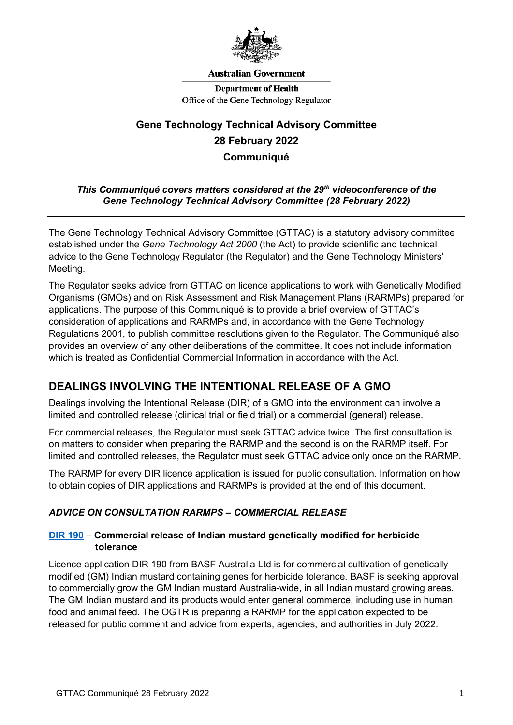

#### **Australian Government**

**Department of Health** Office of the Gene Technology Regulator

# **Gene Technology Technical Advisory Committee 28 February 2022 Communiqué**

#### *This Communiqué covers matters considered at the 29th videoconference of the Gene Technology Technical Advisory Committee (28 February 2022)*

The Gene Technology Technical Advisory Committee (GTTAC) is a statutory advisory committee established under the *Gene Technology Act 2000* (the Act) to provide scientific and technical advice to the Gene Technology Regulator (the Regulator) and the Gene Technology Ministers' Meeting.

The Regulator seeks advice from GTTAC on licence applications to work with Genetically Modified Organisms (GMOs) and on Risk Assessment and Risk Management Plans (RARMPs) prepared for applications. The purpose of this Communiqué is to provide a brief overview of GTTAC's consideration of applications and RARMPs and, in accordance with the Gene Technology Regulations 2001, to publish committee resolutions given to the Regulator. The Communiqué also provides an overview of any other deliberations of the committee. It does not include information which is treated as Confidential Commercial Information in accordance with the Act.

## **DEALINGS INVOLVING THE INTENTIONAL RELEASE OF A GMO**

Dealings involving the Intentional Release (DIR) of a GMO into the environment can involve a limited and controlled release (clinical trial or field trial) or a commercial (general) release.

For commercial releases, the Regulator must seek GTTAC advice twice. The first consultation is on matters to consider when preparing the RARMP and the second is on the RARMP itself. For limited and controlled releases, the Regulator must seek GTTAC advice only once on the RARMP.

The RARMP for every DIR licence application is issued for public consultation. Information on how to obtain copies of DIR applications and RARMPs is provided at the end of this document.

## *ADVICE ON CONSULTATION RARMPS – COMMERCIAL RELEASE*

## **[DIR 190](https://www.ogtr.gov.au/gmo-dealings/dealings-involving-intentional-release/dir-190) – Commercial release of Indian mustard genetically modified for herbicide tolerance**

Licence application DIR 190 from BASF Australia Ltd is for commercial cultivation of genetically modified (GM) Indian mustard containing genes for herbicide tolerance. BASF is seeking approval to commercially grow the GM Indian mustard Australia-wide, in all Indian mustard growing areas. The GM Indian mustard and its products would enter general commerce, including use in human food and animal feed. The OGTR is preparing a RARMP for the application expected to be released for public comment and advice from experts, agencies, and authorities in July 2022.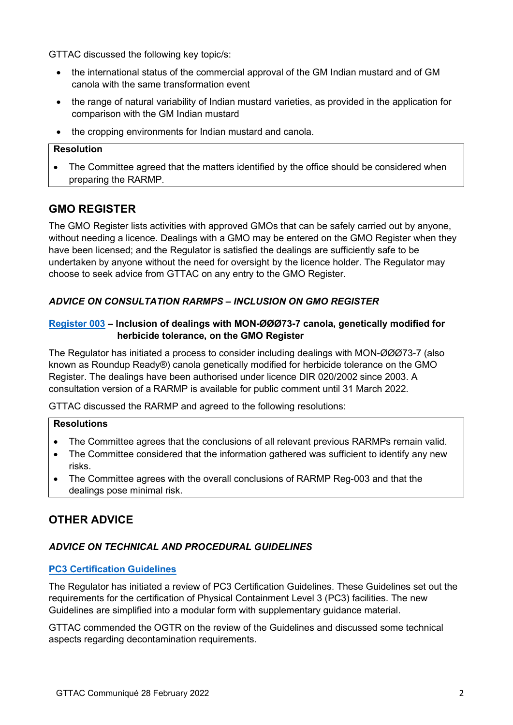GTTAC discussed the following key topic/s:

- the international status of the commercial approval of the GM Indian mustard and of GM canola with the same transformation event
- the range of natural variability of Indian mustard varieties, as provided in the application for comparison with the GM Indian mustard
- the cropping environments for Indian mustard and canola.

#### **Resolution**

• The Committee agreed that the matters identified by the office should be considered when preparing the RARMP.

## **GMO REGISTER**

The GMO Register lists activities with approved GMOs that can be safely carried out by anyone, without needing a licence. Dealings with a GMO may be entered on the GMO Register when they have been licensed; and the Regulator is satisfied the dealings are sufficiently safe to be undertaken by anyone without the need for oversight by the licence holder. The Regulator may choose to seek advice from GTTAC on any entry to the GMO Register.

## *ADVICE ON CONSULTATION RARMPS – INCLUSION ON GMO REGISTER*

#### **[Register 003](https://www.ogtr.gov.au/gmo-dealings/register-003) – Inclusion of dealings with MON-ØØØ73-7 canola, genetically modified for herbicide tolerance, on the GMO Register**

The Regulator has initiated a process to consider including dealings with MON-ØØØ73-7 (also known as Roundup Ready®) canola genetically modified for herbicide tolerance on the GMO Register. The dealings have been authorised under licence DIR 020/2002 since 2003. A consultation version of a RARMP is available for public comment until 31 March 2022.

GTTAC discussed the RARMP and agreed to the following resolutions:

## **Resolutions**

- The Committee agrees that the conclusions of all relevant previous RARMPs remain valid.
- The Committee considered that the information gathered was sufficient to identify any new risks.
- The Committee agrees with the overall conclusions of RARMP Reg-003 and that the dealings pose minimal risk.

# **OTHER ADVICE**

## *ADVICE ON TECHNICAL AND PROCEDURAL GUIDELINES*

## **[PC3 Certification Guidelines](https://www.ogtr.gov.au/resources/collections/guidelines-and-checklists-certification-pc3-facilities)**

The Regulator has initiated a review of PC3 Certification Guidelines. These Guidelines set out the requirements for the certification of Physical Containment Level 3 (PC3) facilities. The new Guidelines are simplified into a modular form with supplementary guidance material.

GTTAC commended the OGTR on the review of the Guidelines and discussed some technical aspects regarding decontamination requirements.